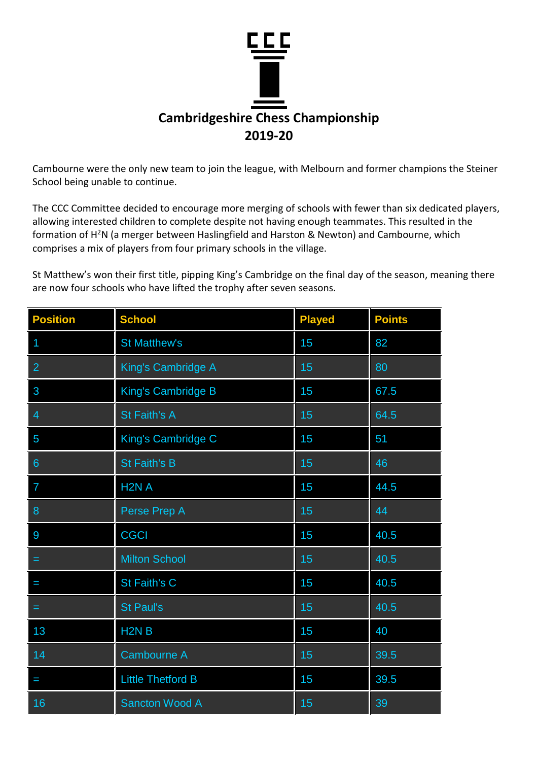

Cambourne were the only new team to join the league, with Melbourn and former champions the Steiner School being unable to continue.

The CCC Committee decided to encourage more merging of schools with fewer than six dedicated players, allowing interested children to complete despite not having enough teammates. This resulted in the formation of H<sup>2</sup>N (a merger between Haslingfield and Harston & Newton) and Cambourne, which comprises a mix of players from four primary schools in the village.

St Matthew's won their first title, pipping King's Cambridge on the final day of the season, meaning there are now four schools who have lifted the trophy after seven seasons.

| <b>Position</b> | <b>School</b>             | <b>Played</b> | <b>Points</b> |
|-----------------|---------------------------|---------------|---------------|
|                 | <b>St Matthew's</b>       | 15            | 82            |
| $\overline{2}$  | King's Cambridge A        | 15            | 80            |
| 3               | <b>King's Cambridge B</b> | 15            | 67.5          |
| 4               | <b>St Faith's A</b>       | 15            | 64.5          |
| 5               | King's Cambridge C        | 15            | 51            |
| $6\phantom{1}$  | <b>St Faith's B</b>       | 15            | 46            |
| $\overline{7}$  | H <sub>2N</sub> A         | 15            | 44.5          |
| 8               | Perse Prep A              | 15            | 44            |
| 9               | <b>CGCI</b>               | 15            | 40.5          |
| =               | <b>Milton School</b>      | 15            | 40.5          |
| I               | St Faith's C              | 15            | 40.5          |
| =               | <b>St Paul's</b>          | 15            | 40.5          |
| 13              | H <sub>2N</sub> B         | 15            | 40            |
| 14              | Cambourne A               | 15            | 39.5          |
| I               | <b>Little Thetford B</b>  | 15            | 39.5          |
| 16              | <b>Sancton Wood A</b>     | 15            | 39            |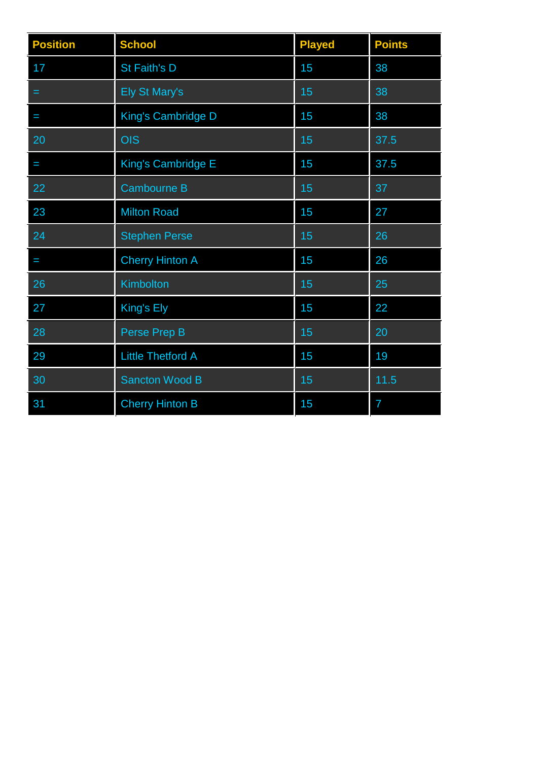| <b>Position</b> | <b>School</b>            | <b>Played</b> | <b>Points</b>  |
|-----------------|--------------------------|---------------|----------------|
| 17              | St Faith's D             | 15            | 38             |
| =               | <b>Ely St Mary's</b>     | 15            | 38             |
| I               | King's Cambridge D       | 15            | 38             |
| 20              | OIS                      | 15            | 37.5           |
| I               | King's Cambridge E       | 15            | 37.5           |
| 22              | <b>Cambourne B</b>       | 15            | 37             |
| 23              | <b>Milton Road</b>       | 15            | 27             |
| 24              | <b>Stephen Perse</b>     | 15            | 26             |
| I               | <b>Cherry Hinton A</b>   | 15            | 26             |
| 26              | Kimbolton                | 15            | 25             |
| 27              | King's Ely               | 15            | 22             |
| 28              | Perse Prep B             | 15            | 20             |
| 29              | <b>Little Thetford A</b> | 15            | 19             |
| 30              | <b>Sancton Wood B</b>    | 15            | 11.5           |
| 31              | <b>Cherry Hinton B</b>   | 15            | $\overline{7}$ |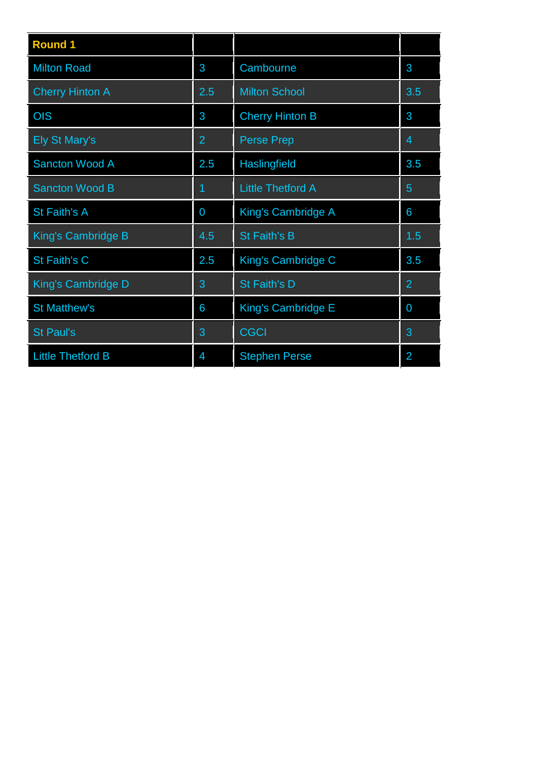| <b>Round 1</b>           |     |                          |                |
|--------------------------|-----|--------------------------|----------------|
| <b>Milton Road</b>       | 3   | Cambourne                | 3              |
| <b>Cherry Hinton A</b>   | 2.5 | <b>Milton School</b>     | 3.5            |
| OIS                      | 3   | <b>Cherry Hinton B</b>   | 3              |
| <b>Ely St Mary's</b>     | 2   | <b>Perse Prep</b>        | 4              |
| <b>Sancton Wood A</b>    | 2.5 | Haslingfield             | 3.5            |
| Sancton Wood B           | 1   | <b>Little Thetford A</b> | 5              |
| <b>St Faith's A</b>      | 0   | King's Cambridge A       | 6              |
| King's Cambridge B       | 4.5 | <b>St Faith's B</b>      | 1.5            |
| St Faith's C             | 2.5 | King's Cambridge C       | 3.5            |
| King's Cambridge D       | 3   | St Faith's D             | $\overline{2}$ |
| <b>St Matthew's</b>      | 6   | King's Cambridge E       | $\overline{0}$ |
| <b>St Paul's</b>         | 3   | <b>CGCI</b>              | 3              |
| <b>Little Thetford B</b> | 4   | <b>Stephen Perse</b>     | 2              |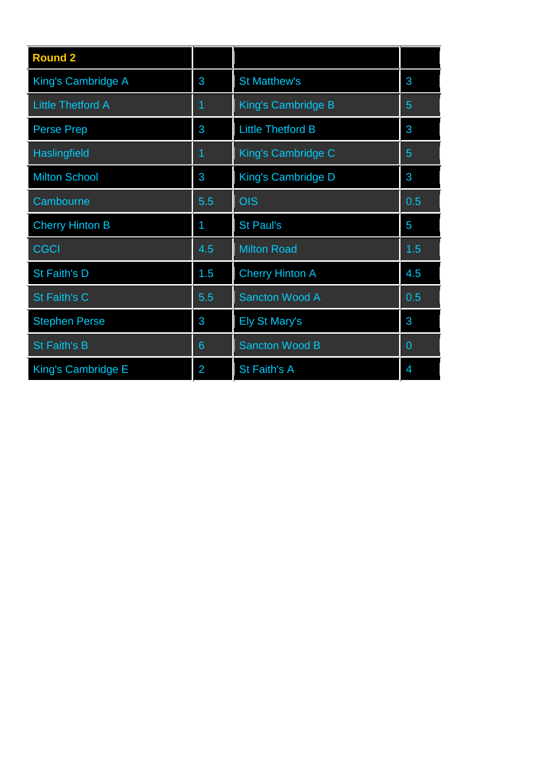| <b>Round 2</b>           |                |                           |     |
|--------------------------|----------------|---------------------------|-----|
| King's Cambridge A       | 3              | <b>St Matthew's</b>       | 3   |
| <b>Little Thetford A</b> | 1              | King's Cambridge B        | 5   |
| <b>Perse Prep</b>        | 3              | <b>Little Thetford B</b>  | 3   |
| Haslingfield             | 1              | King's Cambridge C        | 5   |
| <b>Milton School</b>     | 3              | <b>King's Cambridge D</b> | 3   |
| Cambourne                | 5.5            | <b>OIS</b>                | 0.5 |
| <b>Cherry Hinton B</b>   | 1              | <b>St Paul's</b>          | 5   |
| <b>CGCI</b>              | 4.5            | <b>Milton Road</b>        | 1.5 |
| St Faith's D             | 1.5            | <b>Cherry Hinton A</b>    | 4.5 |
| St Faith's C             | 5.5            | Sancton Wood A            | 0.5 |
| <b>Stephen Perse</b>     | 3              | <b>Ely St Mary's</b>      | 3   |
| <b>St Faith's B</b>      | 6              | <b>Sancton Wood B</b>     | 0   |
| King's Cambridge E       | $\overline{2}$ | St Faith's A              | 4   |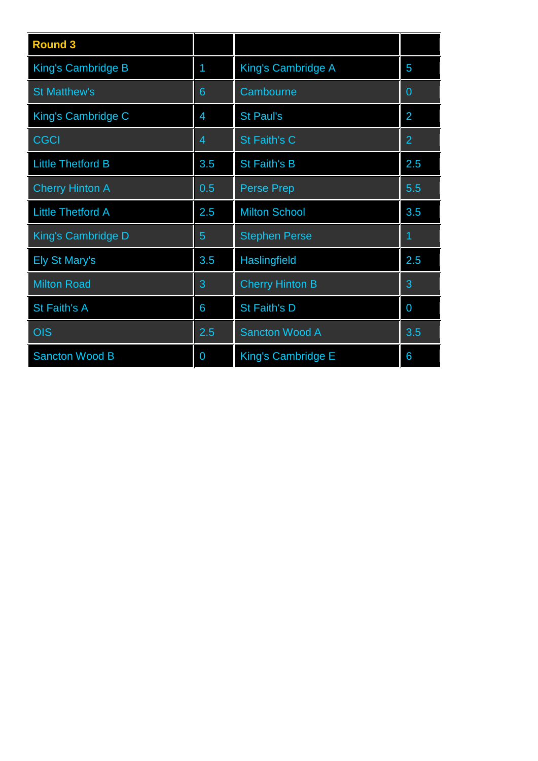| <b>Round 3</b>           |                |                           |                |
|--------------------------|----------------|---------------------------|----------------|
| King's Cambridge B       | 1              | King's Cambridge A        | 5              |
| <b>St Matthew's</b>      | 6              | Cambourne                 | $\Omega$       |
| King's Cambridge C       | $\overline{4}$ | <b>St Paul's</b>          | $\overline{2}$ |
| <b>CGCI</b>              | 4              | St Faith's C              | $\overline{2}$ |
| <b>Little Thetford B</b> | 3.5            | St Faith's B              | 2.5            |
| <b>Cherry Hinton A</b>   | 0.5            | <b>Perse Prep</b>         | 5.5            |
| <b>Little Thetford A</b> | 2.5            | <b>Milton School</b>      | 3.5            |
| King's Cambridge D       | 5              | <b>Stephen Perse</b>      | 1              |
| <b>Ely St Mary's</b>     | 3.5            | <b>Haslingfield</b>       | 2.5            |
| <b>Milton Road</b>       | 3              | <b>Cherry Hinton B</b>    | 3              |
| <b>St Faith's A</b>      | 6              | St Faith's D              | 0              |
| <b>OIS</b>               | 2.5            | <b>Sancton Wood A</b>     | 3.5            |
| <b>Sancton Wood B</b>    | 0              | <b>King's Cambridge E</b> | 6              |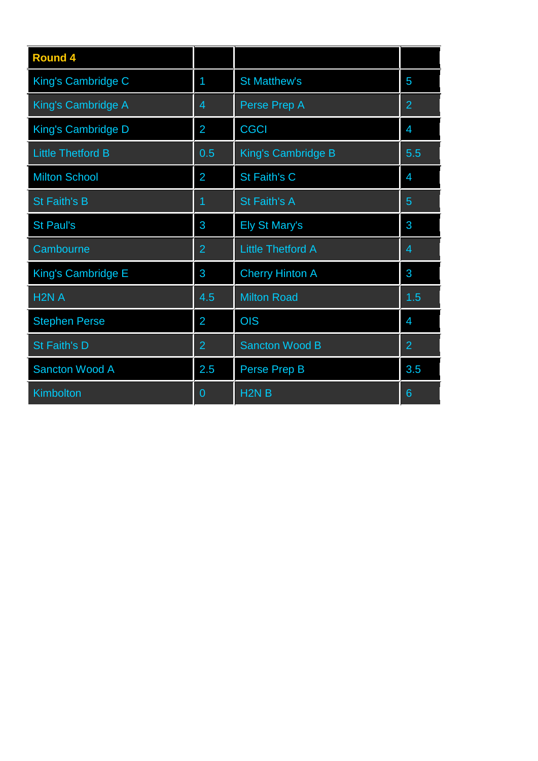| <b>Round 4</b>            |                |                          |                |
|---------------------------|----------------|--------------------------|----------------|
| King's Cambridge C        | 1              | <b>St Matthew's</b>      | 5              |
| <b>King's Cambridge A</b> | 4              | Perse Prep A             | $\overline{2}$ |
| <b>King's Cambridge D</b> | $\overline{2}$ | <b>CGCI</b>              | 4              |
| <b>Little Thetford B</b>  | 0.5            | King's Cambridge B       | 5.5            |
| <b>Milton School</b>      | 2              | St Faith's C             | 4              |
| <b>St Faith's B</b>       | 1              | <b>St Faith's A</b>      | 5              |
| <b>St Paul's</b>          | 3              | <b>Ely St Mary's</b>     | 3              |
| Cambourne                 | $\overline{2}$ | <b>Little Thetford A</b> | 4              |
| King's Cambridge E        | 3              | <b>Cherry Hinton A</b>   | 3              |
| H <sub>2N</sub> A         | 4.5            | <b>Milton Road</b>       | 1.5            |
| <b>Stephen Perse</b>      | $\overline{2}$ | <b>OIS</b>               | $\overline{4}$ |
| St Faith's D              | $\overline{2}$ | <b>Sancton Wood B</b>    | 2              |
| <b>Sancton Wood A</b>     | 2.5            | Perse Prep B             | 3.5            |
| Kimbolton                 | $\overline{0}$ | H <sub>2N</sub> B        | 6              |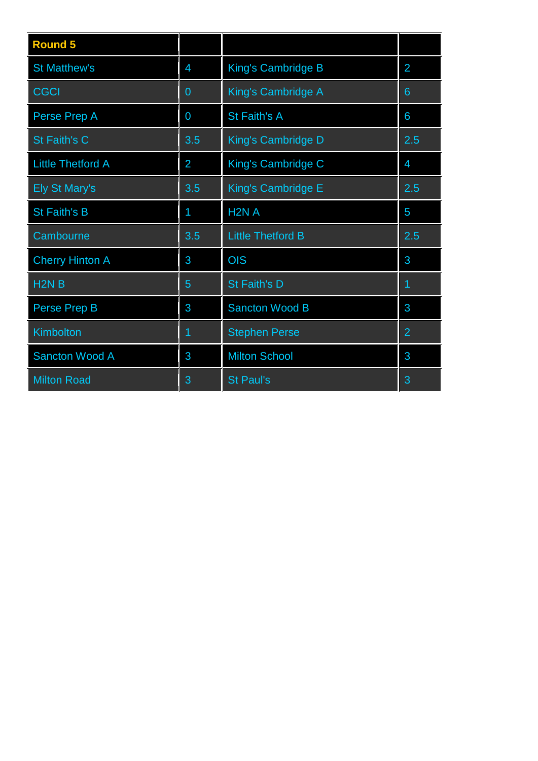| <b>Round 5</b>           |                |                          |                |
|--------------------------|----------------|--------------------------|----------------|
| <b>St Matthew's</b>      | $\overline{4}$ | King's Cambridge B       | $\overline{2}$ |
| <b>CGCI</b>              | $\overline{0}$ | King's Cambridge A       | 6              |
| Perse Prep A             | 0              | St Faith's A             | 6              |
| St Faith's C             | 3.5            | King's Cambridge D       | 2.5            |
| <b>Little Thetford A</b> | $\overline{2}$ | King's Cambridge C       | $\overline{4}$ |
| <b>Ely St Mary's</b>     | 3.5            | King's Cambridge E       | 2.5            |
| <b>St Faith's B</b>      | 1              | H <sub>2N</sub> A        | 5              |
| Cambourne                | 3.5            | <b>Little Thetford B</b> | 2.5            |
| <b>Cherry Hinton A</b>   | 3              | <b>OIS</b>               | 3              |
| H <sub>2N</sub> B        | 5              | St Faith's D             | 1              |
| Perse Prep B             | 3              | <b>Sancton Wood B</b>    | 3              |
| Kimbolton                | 1              | <b>Stephen Perse</b>     | $\overline{2}$ |
| <b>Sancton Wood A</b>    | 3              | <b>Milton School</b>     | 3              |
| <b>Milton Road</b>       | 3              | <b>St Paul's</b>         | 3              |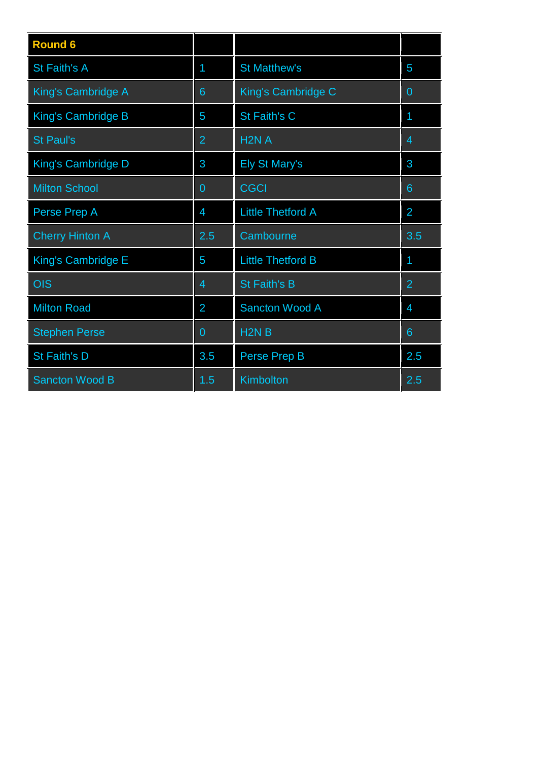| <b>Round 6</b>            |                |                          |                |
|---------------------------|----------------|--------------------------|----------------|
| <b>St Faith's A</b>       | 1              | <b>St Matthew's</b>      | 5              |
| King's Cambridge A        | 6              | King's Cambridge C       | $\overline{0}$ |
| King's Cambridge B        | 5              | St Faith's C             | 1              |
| <b>St Paul's</b>          | $\overline{2}$ | H <sub>2N</sub> A        | 4              |
| King's Cambridge D        | 3              | <b>Ely St Mary's</b>     | 3              |
| <b>Milton School</b>      | 0              | <b>CGCI</b>              | 6              |
| Perse Prep A              | 4              | <b>Little Thetford A</b> | 2              |
| <b>Cherry Hinton A</b>    | 2.5            | Cambourne                | 3.5            |
| <b>King's Cambridge E</b> | 5              | <b>Little Thetford B</b> | 1              |
| OIS                       | $\overline{4}$ | <b>St Faith's B</b>      | $\overline{2}$ |
| <b>Milton Road</b>        | $\overline{2}$ | Sancton Wood A           | 4              |
| <b>Stephen Perse</b>      | $\overline{0}$ | H <sub>2N</sub> B        | 6              |
| St Faith's D              | 3.5            | Perse Prep B             | 2.5            |
| <b>Sancton Wood B</b>     | 1.5            | Kimbolton                | 2.5            |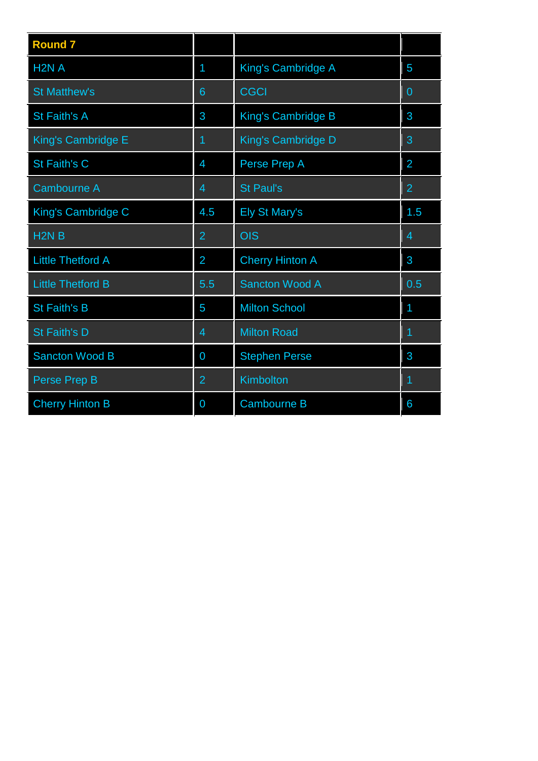| <b>Round 7</b>           |                |                           |                |
|--------------------------|----------------|---------------------------|----------------|
| H2NA                     | 1              | King's Cambridge A        | 5              |
| <b>St Matthew's</b>      | 6              | <b>CGCI</b>               | $\overline{0}$ |
| St Faith's A             | 3              | King's Cambridge B        | 3              |
| King's Cambridge E       | 1              | <b>King's Cambridge D</b> | 3              |
| <b>St Faith's C</b>      | 4              | Perse Prep A              | $\overline{2}$ |
| <b>Cambourne A</b>       | 4              | <b>St Paul's</b>          | $\overline{2}$ |
| King's Cambridge C       | 4.5            | <b>Ely St Mary's</b>      | 1.5            |
| H <sub>2N</sub> B        | $\overline{2}$ | <b>OIS</b>                | 4              |
| <b>Little Thetford A</b> | $\overline{2}$ | <b>Cherry Hinton A</b>    | 3              |
| <b>Little Thetford B</b> | 5.5            | <b>Sancton Wood A</b>     | 0.5            |
| <b>St Faith's B</b>      | 5              | <b>Milton School</b>      | 1              |
| <b>St Faith's D</b>      | 4              | <b>Milton Road</b>        | 1              |
| <b>Sancton Wood B</b>    | 0              | <b>Stephen Perse</b>      | 3              |
| Perse Prep B             | $\overline{2}$ | Kimbolton                 | 1              |
| <b>Cherry Hinton B</b>   | 0              | <b>Cambourne B</b>        | 6              |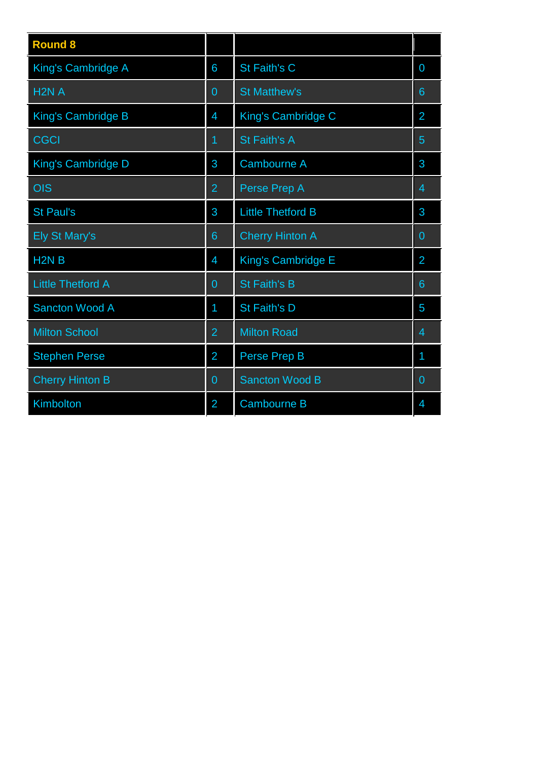| <b>Round 8</b>            |                |                          |                |
|---------------------------|----------------|--------------------------|----------------|
| King's Cambridge A        | 6              | St Faith's C             | $\overline{0}$ |
| H <sub>2N</sub> A         | $\overline{0}$ | <b>St Matthew's</b>      | 6              |
| King's Cambridge B        | 4              | King's Cambridge C       | $\overline{2}$ |
| <b>CGCI</b>               | 1              | St Faith's A             | 5              |
| <b>King's Cambridge D</b> | 3              | <b>Cambourne A</b>       | 3              |
| <b>OIS</b>                | $\overline{2}$ | Perse Prep A             | 4              |
| <b>St Paul's</b>          | 3              | <b>Little Thetford B</b> | 3              |
| <b>Ely St Mary's</b>      | 6              | <b>Cherry Hinton A</b>   | $\overline{0}$ |
| H <sub>2N</sub> B         | 4              | King's Cambridge E       | 2              |
| <b>Little Thetford A</b>  | $\overline{0}$ | St Faith's B             | 6              |
| <b>Sancton Wood A</b>     | 1              | St Faith's D             | 5              |
| <b>Milton School</b>      | $\overline{2}$ | <b>Milton Road</b>       | $\overline{4}$ |
| <b>Stephen Perse</b>      | $\overline{2}$ | Perse Prep B             | 1              |
| <b>Cherry Hinton B</b>    | 0              | <b>Sancton Wood B</b>    | 0              |
| Kimbolton                 | $\overline{2}$ | <b>Cambourne B</b>       | 4              |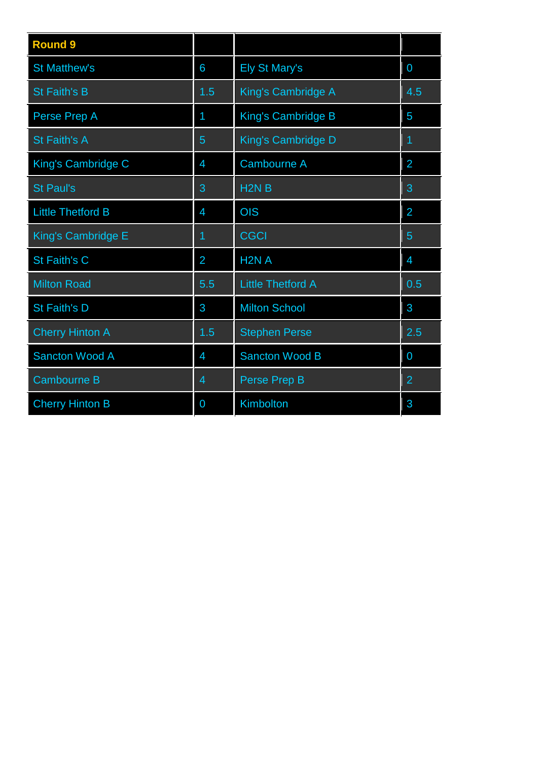| <b>Round 9</b>           |                |                           |                |
|--------------------------|----------------|---------------------------|----------------|
| <b>St Matthew's</b>      | 6              | <b>Ely St Mary's</b>      | 0              |
| <b>St Faith's B</b>      | 1.5            | King's Cambridge A        | 4.5            |
| Perse Prep A             | 1              | King's Cambridge B        | 5              |
| <b>St Faith's A</b>      | 5              | <b>King's Cambridge D</b> | 1              |
| King's Cambridge C       | 4              | <b>Cambourne A</b>        | $\overline{2}$ |
| <b>St Paul's</b>         | 3              | H <sub>2N</sub> B         | 3              |
| <b>Little Thetford B</b> | 4              | <b>OIS</b>                | $\overline{2}$ |
| King's Cambridge E       | 1              | <b>CGCI</b>               | 5              |
| St Faith's C             | $\overline{2}$ | H <sub>2</sub> N A        | $\overline{4}$ |
| <b>Milton Road</b>       | 5.5            | <b>Little Thetford A</b>  | 0.5            |
| <b>St Faith's D</b>      | 3              | <b>Milton School</b>      | 3              |
| <b>Cherry Hinton A</b>   | 1.5            | <b>Stephen Perse</b>      | 2.5            |
| <b>Sancton Wood A</b>    | 4              | <b>Sancton Wood B</b>     | 0              |
| <b>Cambourne B</b>       | 4              | Perse Prep B              | $\overline{2}$ |
| <b>Cherry Hinton B</b>   | 0              | Kimbolton                 | 3              |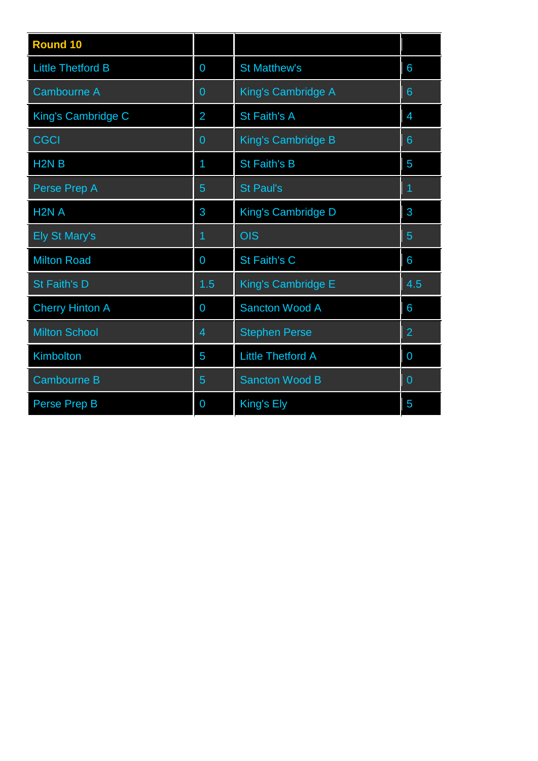| <b>Round 10</b>               |                |                           |                |
|-------------------------------|----------------|---------------------------|----------------|
| <b>Little Thetford B</b>      | 0              | <b>St Matthew's</b>       | 6              |
| <b>Cambourne A</b>            | $\overline{0}$ | King's Cambridge A        | 6              |
| King's Cambridge C            | 2              | St Faith's A              | $\overline{4}$ |
| CGCI                          | $\overline{0}$ | <b>King's Cambridge B</b> | $6\phantom{1}$ |
| H <sub>2</sub> N <sub>B</sub> | 1              | St Faith's B              | 5              |
| Perse Prep A                  | 5              | <b>St Paul's</b>          | 1              |
| H <sub>2</sub> N A            | 3              | <b>King's Cambridge D</b> | 3              |
| <b>Ely St Mary's</b>          | 1              | <b>OIS</b>                | 5              |
| <b>Milton Road</b>            | 0              | St Faith's C              | 6              |
| St Faith's D                  | 1.5            | <b>King's Cambridge E</b> | 4.5            |
| <b>Cherry Hinton A</b>        | 0              | <b>Sancton Wood A</b>     | 6              |
| <b>Milton School</b>          | $\overline{4}$ | <b>Stephen Perse</b>      | $\overline{2}$ |
| <b>Kimbolton</b>              | 5              | <b>Little Thetford A</b>  | 0              |
| <b>Cambourne B</b>            | 5              | <b>Sancton Wood B</b>     | 0              |
| Perse Prep B                  | 0              | King's Ely                | 5              |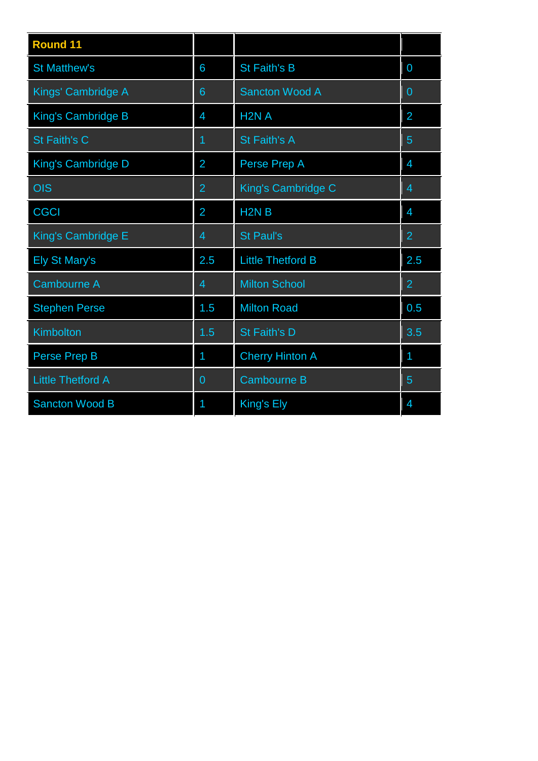| <b>Round 11</b>          |                |                               |                |
|--------------------------|----------------|-------------------------------|----------------|
| <b>St Matthew's</b>      | 6              | <b>St Faith's B</b>           | 0              |
| Kings' Cambridge A       | 6              | Sancton Wood A                | 0              |
| King's Cambridge B       | 4              | H <sub>2N</sub> A             | $\overline{2}$ |
| St Faith's C             | 1              | St Faith's A                  | 5              |
| King's Cambridge D       | $\overline{2}$ | Perse Prep A                  | 4              |
| <b>OIS</b>               | $\overline{2}$ | King's Cambridge C            | $\overline{4}$ |
| <b>CGCI</b>              | $\overline{2}$ | H <sub>2</sub> N <sub>B</sub> | $\overline{4}$ |
| King's Cambridge E       | $\overline{4}$ | <b>St Paul's</b>              | $\overline{2}$ |
| <b>Ely St Mary's</b>     | 2.5            | <b>Little Thetford B</b>      | 2.5            |
| <b>Cambourne A</b>       | 4              | <b>Milton School</b>          | $\overline{2}$ |
| <b>Stephen Perse</b>     | 1.5            | <b>Milton Road</b>            | 0.5            |
| <b>Kimbolton</b>         | 1.5            | St Faith's D                  | 3.5            |
| <b>Perse Prep B</b>      | 1              | <b>Cherry Hinton A</b>        | 1              |
| <b>Little Thetford A</b> | 0              | <b>Cambourne B</b>            | 5              |
| <b>Sancton Wood B</b>    | 1              | King's Ely                    | 4              |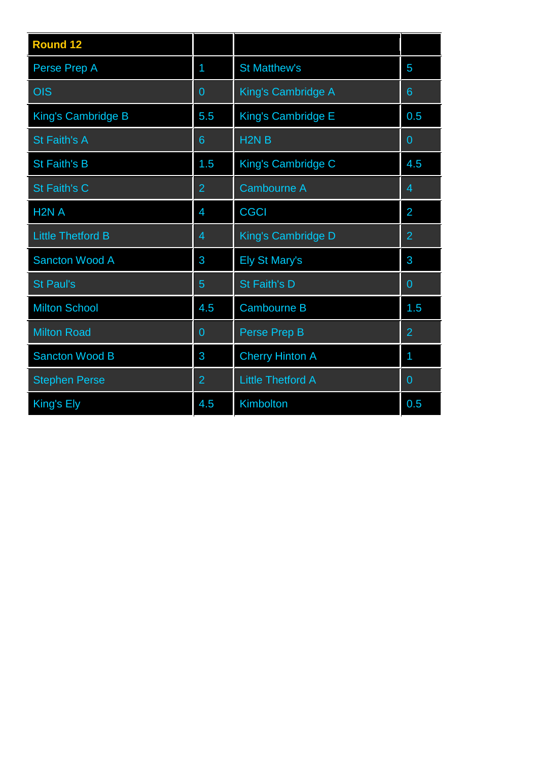| <b>Round 12</b>          |                |                          |                |
|--------------------------|----------------|--------------------------|----------------|
| Perse Prep A             | 1              | <b>St Matthew's</b>      | 5              |
| <b>OIS</b>               | $\overline{0}$ | King's Cambridge A       | $6\phantom{1}$ |
| King's Cambridge B       | 5.5            | King's Cambridge E       | 0.5            |
| <b>St Faith's A</b>      | 6              | H <sub>2N</sub> B        | $\Omega$       |
| <b>St Faith's B</b>      | 1.5            | King's Cambridge C       | 4.5            |
| St Faith's C             | $\overline{2}$ | <b>Cambourne A</b>       | 4              |
| H <sub>2</sub> N A       | 4              | <b>CGCI</b>              | $\overline{2}$ |
| <b>Little Thetford B</b> | 4              | King's Cambridge D       | $\overline{2}$ |
| <b>Sancton Wood A</b>    | 3              | <b>Ely St Mary's</b>     | 3              |
| <b>St Paul's</b>         | 5              | St Faith's D             | 0              |
| <b>Milton School</b>     | 4.5            | <b>Cambourne B</b>       | 1.5            |
| <b>Milton Road</b>       | $\overline{0}$ | Perse Prep B             | $\overline{2}$ |
| <b>Sancton Wood B</b>    | 3              | <b>Cherry Hinton A</b>   | 1              |
| <b>Stephen Perse</b>     | $\overline{2}$ | <b>Little Thetford A</b> | $\overline{0}$ |
| King's Ely               | 4.5            | Kimbolton                | 0.5            |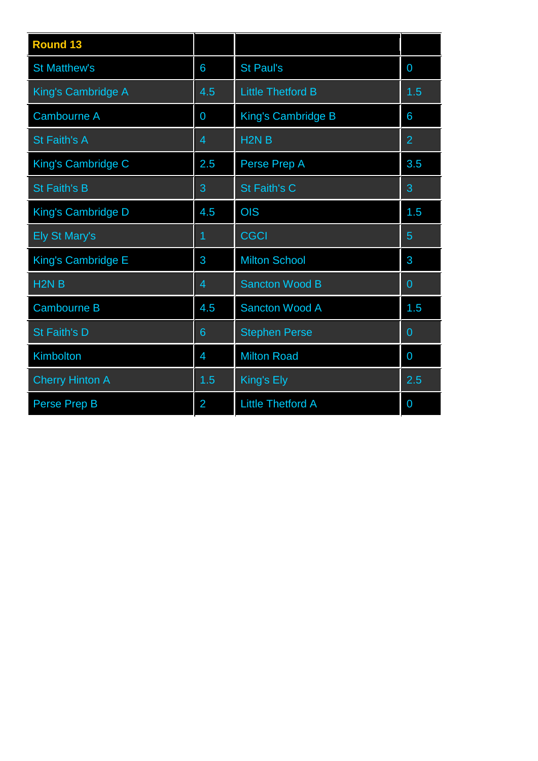| <b>Round 13</b>           |                |                          |                |
|---------------------------|----------------|--------------------------|----------------|
| <b>St Matthew's</b>       | 6              | <b>St Paul's</b>         | 0              |
| <b>King's Cambridge A</b> | 4.5            | <b>Little Thetford B</b> | 1.5            |
| <b>Cambourne A</b>        | 0              | King's Cambridge B       | 6              |
| <b>St Faith's A</b>       | $\overline{4}$ | H <sub>2N</sub> B        | $\overline{2}$ |
| King's Cambridge C        | 2.5            | Perse Prep A             | 3.5            |
| <b>St Faith's B</b>       | 3              | <b>St Faith's C</b>      | 3              |
| <b>King's Cambridge D</b> | 4.5            | <b>OIS</b>               | 1.5            |
| <b>Ely St Mary's</b>      | 1              | <b>CGCI</b>              | $\overline{5}$ |
| King's Cambridge E        | 3              | <b>Milton School</b>     | 3              |
| H <sub>2N</sub> B         | $\overline{4}$ | <b>Sancton Wood B</b>    | $\overline{0}$ |
| <b>Cambourne B</b>        | 4.5            | <b>Sancton Wood A</b>    | 1.5            |
| St Faith's D              | 6              | <b>Stephen Perse</b>     | $\overline{0}$ |
| Kimbolton                 | $\overline{4}$ | <b>Milton Road</b>       | 0              |
| <b>Cherry Hinton A</b>    | 1.5            | King's Ely               | 2.5            |
| Perse Prep B              | 2              | <b>Little Thetford A</b> | 0              |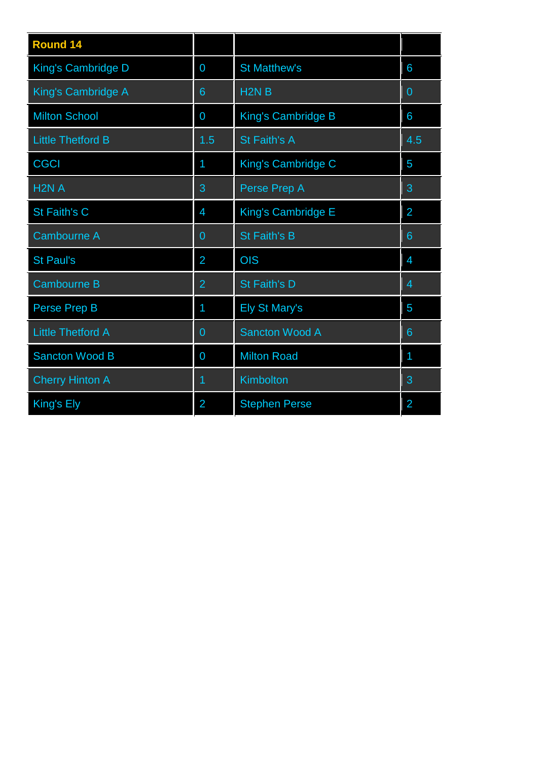| <b>Round 14</b>           |                |                       |                |
|---------------------------|----------------|-----------------------|----------------|
| <b>King's Cambridge D</b> | 0              | <b>St Matthew's</b>   | 6              |
| King's Cambridge A        | 6              | H <sub>2N</sub> B     | 0              |
| <b>Milton School</b>      | 0              | King's Cambridge B    | 6              |
| <b>Little Thetford B</b>  | 1.5            | St Faith's A          | 4.5            |
| <b>CGCI</b>               | 1              | King's Cambridge C    | 5              |
| H <sub>2N</sub> A         | 3              | Perse Prep A          | 3              |
| <b>St Faith's C</b>       | 4              | King's Cambridge E    | $\overline{2}$ |
| <b>Cambourne A</b>        | 0              | St Faith's B          | 6              |
| <b>St Paul's</b>          | $\overline{2}$ | <b>OIS</b>            | 4              |
| <b>Cambourne B</b>        | $\overline{2}$ | St Faith's D          | 4              |
| Perse Prep B              | 1              | Ely St Mary's         | 5              |
| <b>Little Thetford A</b>  | $\overline{0}$ | <b>Sancton Wood A</b> | 6              |
| <b>Sancton Wood B</b>     | 0              | <b>Milton Road</b>    | 1              |
| <b>Cherry Hinton A</b>    | 1              | Kimbolton             | 3              |
| King's Ely                | $\overline{2}$ | <b>Stephen Perse</b>  | $\overline{2}$ |